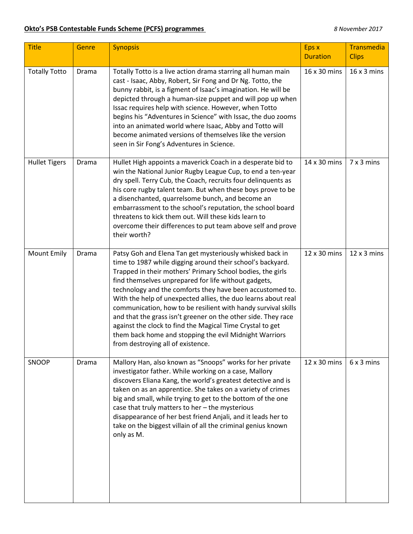## **Okto's PSB Contestable Funds Scheme (PCFS) programmes** *8 November 2017*

| <b>Title</b>         | Genre | <b>Synopsis</b>                                                                                                                                                                                                                                                                                                                                                                                                                                                                                                                                                                                                                                                          | Eps x<br><b>Duration</b> | Transmedia<br><b>Clips</b> |
|----------------------|-------|--------------------------------------------------------------------------------------------------------------------------------------------------------------------------------------------------------------------------------------------------------------------------------------------------------------------------------------------------------------------------------------------------------------------------------------------------------------------------------------------------------------------------------------------------------------------------------------------------------------------------------------------------------------------------|--------------------------|----------------------------|
| <b>Totally Totto</b> | Drama | Totally Totto is a live action drama starring all human main<br>cast - Isaac, Abby, Robert, Sir Fong and Dr Ng. Totto, the<br>bunny rabbit, is a figment of Isaac's imagination. He will be<br>depicted through a human-size puppet and will pop up when<br>Issac requires help with science. However, when Totto<br>begins his "Adventures in Science" with Issac, the duo zooms<br>into an animated world where Isaac, Abby and Totto will<br>become animated versions of themselves like the version<br>seen in Sir Fong's Adventures in Science.                                                                                                                     | 16 x 30 mins             | $16 \times 3$ mins         |
| <b>Hullet Tigers</b> | Drama | Hullet High appoints a maverick Coach in a desperate bid to<br>win the National Junior Rugby League Cup, to end a ten-year<br>dry spell. Terry Cub, the Coach, recruits four delinquents as<br>his core rugby talent team. But when these boys prove to be<br>a disenchanted, quarrelsome bunch, and become an<br>embarrassment to the school's reputation, the school board<br>threatens to kick them out. Will these kids learn to<br>overcome their differences to put team above self and prove<br>their worth?                                                                                                                                                      | 14 x 30 mins             | 7 x 3 mins                 |
| <b>Mount Emily</b>   | Drama | Patsy Goh and Elena Tan get mysteriously whisked back in<br>time to 1987 while digging around their school's backyard.<br>Trapped in their mothers' Primary School bodies, the girls<br>find themselves unprepared for life without gadgets,<br>technology and the comforts they have been accustomed to.<br>With the help of unexpected allies, the duo learns about real<br>communication, how to be resilient with handy survival skills<br>and that the grass isn't greener on the other side. They race<br>against the clock to find the Magical Time Crystal to get<br>them back home and stopping the evil Midnight Warriors<br>from destroying all of existence. | 12 x 30 mins             | $12 \times 3$ mins         |
| SNOOP                | Drama | Mallory Han, also known as "Snoops" works for her private<br>investigator father. While working on a case, Mallory<br>discovers Eliana Kang, the world's greatest detective and is<br>taken on as an apprentice. She takes on a variety of crimes<br>big and small, while trying to get to the bottom of the one<br>case that truly matters to her - the mysterious<br>disappearance of her best friend Anjali, and it leads her to<br>take on the biggest villain of all the criminal genius known<br>only as M.                                                                                                                                                        | 12 x 30 mins             | 6x3 mins                   |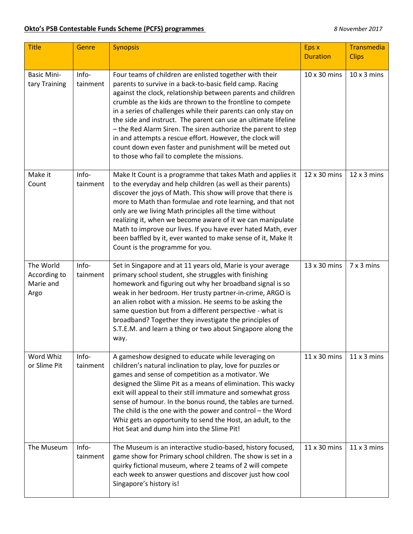## **Okto's PSB Contestable Funds Scheme (PCFS) programmes** *8 November 2017*

| <b>Title</b>                                   | Genre             | <b>Synopsis</b>                                                                                                                                                                                                                                                                                                                                                                                                                                                                                                                                                                                                              | Eps x<br><b>Duration</b> | Transmedia<br><b>Clips</b> |
|------------------------------------------------|-------------------|------------------------------------------------------------------------------------------------------------------------------------------------------------------------------------------------------------------------------------------------------------------------------------------------------------------------------------------------------------------------------------------------------------------------------------------------------------------------------------------------------------------------------------------------------------------------------------------------------------------------------|--------------------------|----------------------------|
| <b>Basic Mini-</b><br>tary Training            | Info-<br>tainment | Four teams of children are enlisted together with their<br>parents to survive in a back-to-basic field camp. Racing<br>against the clock, relationship between parents and children<br>crumble as the kids are thrown to the frontline to compete<br>in a series of challenges while their parents can only stay on<br>the side and instruct. The parent can use an ultimate lifeline<br>- the Red Alarm Siren. The siren authorize the parent to step<br>in and attempts a rescue effort. However, the clock will<br>count down even faster and punishment will be meted out<br>to those who fail to complete the missions. | 10 x 30 mins             | $10 \times 3$ mins         |
| Make it<br>Count                               | Info-<br>tainment | Make It Count is a programme that takes Math and applies it<br>to the everyday and help children (as well as their parents)<br>discover the joys of Math. This show will prove that there is<br>more to Math than formulae and rote learning, and that not<br>only are we living Math principles all the time without<br>realizing it, when we become aware of it we can manipulate<br>Math to improve our lives. If you have ever hated Math, ever<br>been baffled by it, ever wanted to make sense of it, Make It<br>Count is the programme for you.                                                                       | 12 x 30 mins             | $12 \times 3$ mins         |
| The World<br>According to<br>Marie and<br>Argo | Info-<br>tainment | Set in Singapore and at 11 years old, Marie is your average<br>primary school student, she struggles with finishing<br>homework and figuring out why her broadband signal is so<br>weak in her bedroom. Her trusty partner-in-crime, ARGO is<br>an alien robot with a mission. He seems to be asking the<br>same question but from a different perspective - what is<br>broadband? Together they investigate the principles of<br>S.T.E.M. and learn a thing or two about Singapore along the<br>way.                                                                                                                        | 13 x 30 mins             | $7 \times 3$ mins          |
| Word Whiz<br>or Slime Pit                      | Info-<br>tainment | A gameshow designed to educate while leveraging on<br>children's natural inclination to play, love for puzzles or<br>games and sense of competition as a motivator. We<br>designed the Slime Pit as a means of elimination. This wacky<br>exit will appeal to their still immature and somewhat gross<br>sense of humour. In the bonus round, the tables are turned.<br>The child is the one with the power and control $-$ the Word<br>Whiz gets an opportunity to send the Host, an adult, to the<br>Hot Seat and dump him into the Slime Pit!                                                                             | 11 x 30 mins             | $11x3$ mins                |
| The Museum                                     | Info-<br>tainment | The Museum is an interactive studio-based, history focused,<br>game show for Primary school children. The show is set in a<br>quirky fictional museum, where 2 teams of 2 will compete<br>each week to answer questions and discover just how cool<br>Singapore's history is!                                                                                                                                                                                                                                                                                                                                                | 11 x 30 mins             | $11x3$ mins                |